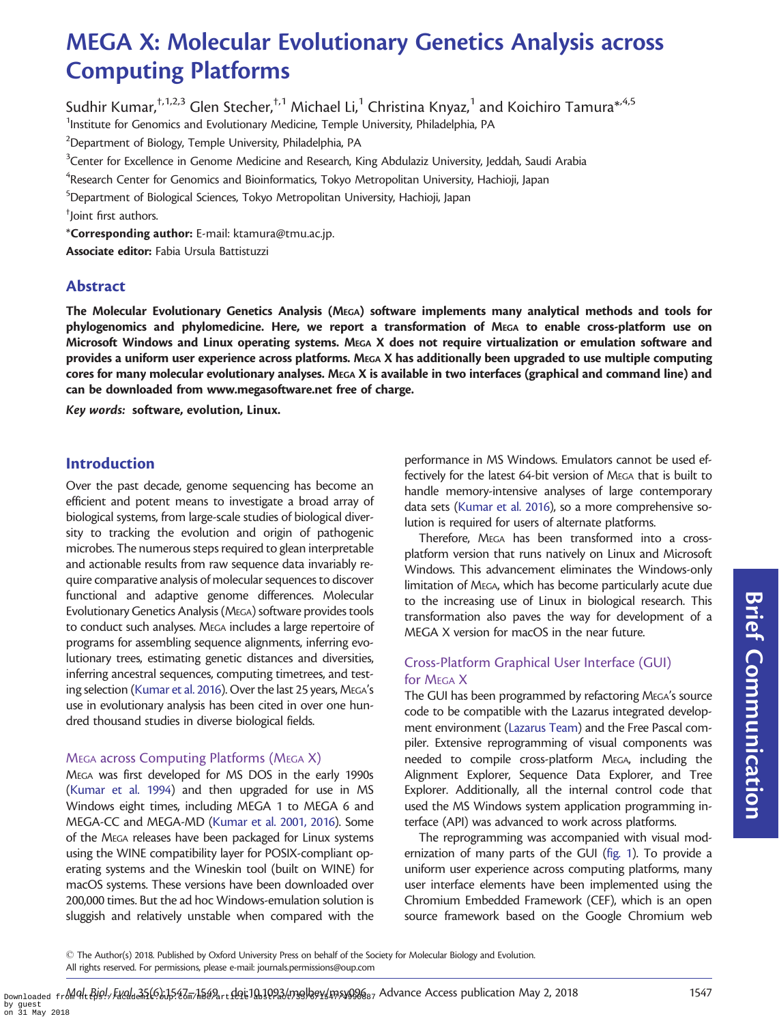# MEGA X: Molecular Evolutionary Genetics Analysis across Computing Platforms

Sudhir Kumar,  $\frac{1}{1,2,3}$  Glen Stecher,  $\frac{1}{1}$  Michael Li,<sup>1</sup> Christina Knyaz,<sup>1</sup> and Koichiro Tamura<sup>\*, 4,5</sup> <sup>1</sup>Institute for Genomics and Evolutionary Medicine, Temple University, Philadelphia, PA

 $^{2}$ Department of Biology, Temple University, Philadelphia, PA

 $^3$ Center for Excellence in Genome Medicine and Research, King Abdulaziz University, Jeddah, Saudi Arabia

 ${\rm ^4}$ Research Center for Genomics and Bioinformatics, Tokyo Metropolitan University, Hachioji, Japan

5 Department of Biological Sciences, Tokyo Metropolitan University, Hachioji, Japan

† Joint first authors.

\*Corresponding author: E-mail: ktamura@tmu.ac.jp.

Associate editor: Fabia Ursula Battistuzzi

## Abstract

The Molecular Evolutionary Genetics Analysis (MEGA) software implements many analytical methods and tools for phylogenomics and phylomedicine. Here, we report a transformation of MEGA to enable cross-platform use on Microsoft Windows and Linux operating systems. MEGA X does not require virtualization or emulation software and provides a uniform user experience across platforms. MEGA X has additionally been upgraded to use multiple computing cores for many molecular evolutionary analyses. MEGA X is available in two interfaces (graphical and command line) and can be downloaded from [www.megasoftware.net](http://www.megasoftware.net) free of charge.

Key words: software, evolution, Linux.

### Introduction

Over the past decade, genome sequencing has become an efficient and potent means to investigate a broad array of biological systems, from large-scale studies of biological diversity to tracking the evolution and origin of pathogenic microbes. The numerous steps required to glean interpretable and actionable results from raw sequence data invariably require comparative analysis of molecular sequences to discover functional and adaptive genome differences. Molecular Evolutionary Genetics Analysis (MEGA) software provides tools to conduct such analyses. MEGA includes a large repertoire of programs for assembling sequence alignments, inferring evolutionary trees, estimating genetic distances and diversities, inferring ancestral sequences, computing timetrees, and testing selection [\(Kumar et al. 2016](#page-2-0)). Over the last 25 years, MEGA's use in evolutionary analysis has been cited in over one hundred thousand studies in diverse biological fields.

#### MEGA across Computing Platforms (MEGA X)

MEGA was first developed for MS DOS in the early 1990s ([Kumar et al. 1994\)](#page-2-0) and then upgraded for use in MS Windows eight times, including MEGA 1 to MEGA 6 and MEGA-CC and MEGA-MD ([Kumar et al. 2001, 2016\)](#page-2-0). Some of the MEGA releases have been packaged for Linux systems using the WINE compatibility layer for POSIX-compliant operating systems and the Wineskin tool (built on WINE) for macOS systems. These versions have been downloaded over 200,000 times. But the ad hoc Windows-emulation solution is sluggish and relatively unstable when compared with the

performance in MS Windows. Emulators cannot be used effectively for the latest 64-bit version of MEGA that is built to handle memory-intensive analyses of large contemporary data sets [\(Kumar et al. 2016](#page-2-0)), so a more comprehensive solution is required for users of alternate platforms.

Therefore, MEGA has been transformed into a crossplatform version that runs natively on Linux and Microsoft Windows. This advancement eliminates the Windows-only limitation of MEGA, which has become particularly acute due to the increasing use of Linux in biological research. This transformation also paves the way for development of a MEGA X version for macOS in the near future.

### Cross-Platform Graphical User Interface (GUI) for MEGA X

The GUI has been programmed by refactoring MEGA's source code to be compatible with the Lazarus integrated development environment ([Lazarus Team\)](#page-2-0) and the Free Pascal compiler. Extensive reprogramming of visual components was needed to compile cross-platform MEGA, including the Alignment Explorer, Sequence Data Explorer, and Tree Explorer. Additionally, all the internal control code that used the MS Windows system application programming interface (API) was advanced to work across platforms.

The reprogramming was accompanied with visual modernization of many parts of the GUI [\(fig. 1](#page-1-0)). To provide a uniform user experience across computing platforms, many user interface elements have been implemented using the Chromium Embedded Framework (CEF), which is an open source framework based on the Google Chromium web Brief Communication

- The Author(s) 2018. Published by Oxford University Press on behalf of the Society for Molecular Biology and Evolution. All rights reserved. For permissions, please e-mail: journals.permissions@oup.com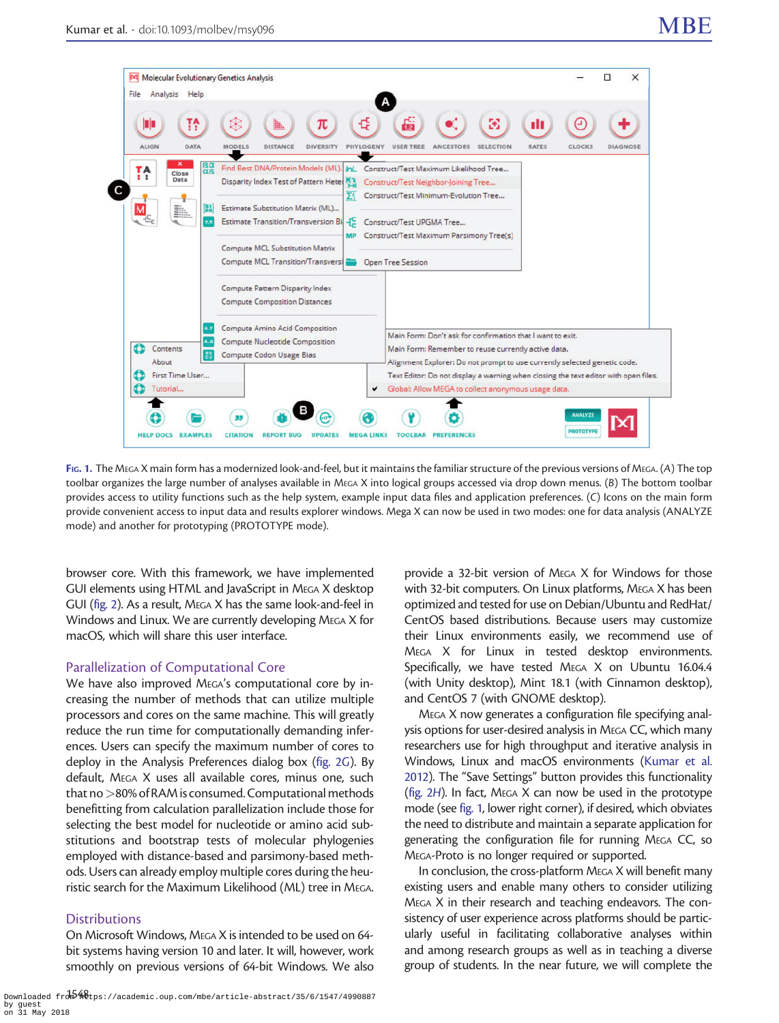<span id="page-1-0"></span>

FIG. 1. The MEGA X main form has a modernized look-and-feel, but it maintains the familiar structure of the previous versions of MEGA. (A) The top toolbar organizes the large number of analyses available in MEGA X into logical groups accessed via drop down menus. (B) The bottom toolbar provides access to utility functions such as the help system, example input data files and application preferences. (C) Icons on the main form provide convenient access to input data and results explorer windows. Mega X can now be used in two modes: one for data analysis (ANALYZE mode) and another for prototyping (PROTOTYPE mode).

browser core. With this framework, we have implemented GUI elements using HTML and JavaScript in MEGA X desktop GUI ([fig. 2](#page-2-0)). As a result, MEGA X has the same look-and-feel in Windows and Linux. We are currently developing MEGA X for macOS, which will share this user interface.

#### Parallelization of Computational Core

We have also improved MEGA's computational core by increasing the number of methods that can utilize multiple processors and cores on the same machine. This will greatly reduce the run time for computationally demanding inferences. Users can specify the maximum number of cores to deploy in the Analysis Preferences dialog box ([fig. 2](#page-2-0)G). By default, MEGA X uses all available cores, minus one, such that no >80% of RAM is consumed. Computational methods benefitting from calculation parallelization include those for selecting the best model for nucleotide or amino acid substitutions and bootstrap tests of molecular phylogenies employed with distance-based and parsimony-based methods. Users can already employ multiple cores during the heuristic search for the Maximum Likelihood (ML) tree in MEGA.

#### **Distributions**

On Microsoft Windows, MEGA X is intended to be used on 64 bit systems having version 10 and later. It will, however, work smoothly on previous versions of 64-bit Windows. We also provide a 32-bit version of MEGA X for Windows for those with 32-bit computers. On Linux platforms, MEGA X has been optimized and tested for use on Debian/Ubuntu and RedHat/ CentOS based distributions. Because users may customize their Linux environments easily, we recommend use of MEGA X for Linux in tested desktop environments. Specifically, we have tested MEGA X on Ubuntu 16.04.4 (with Unity desktop), Mint 18.1 (with Cinnamon desktop), and CentOS 7 (with GNOME desktop).

MEGA X now generates a configuration file specifying analysis options for user-desired analysis in MEGA CC, which many researchers use for high throughput and iterative analysis in Windows, Linux and macOS environments ([Kumar et al.](#page-2-0) [2012\)](#page-2-0). The "Save Settings" button provides this functionality [\(fig. 2](#page-2-0)H). In fact, MEGA X can now be used in the prototype mode (see fig. 1, lower right corner), if desired, which obviates the need to distribute and maintain a separate application for generating the configuration file for running MEGA CC, so MEGA-Proto is no longer required or supported.

In conclusion, the cross-platform MEGA X will benefit many existing users and enable many others to consider utilizing MEGA X in their research and teaching endeavors. The consistency of user experience across platforms should be particularly useful in facilitating collaborative analyses within and among research groups as well as in teaching a diverse group of students. In the near future, we will complete the